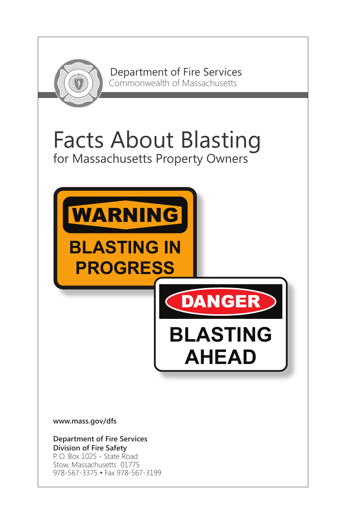

P. O. Box 1025 - State Road Stow, Massachusetts 01775 978-567-3375 • Fax 978-567-3199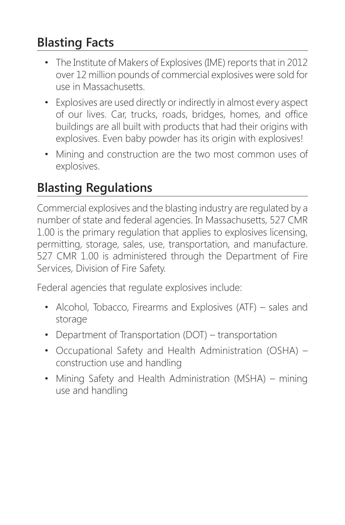# **Blasting Facts**

- The Institute of Makers of Explosives (IME) reports that in 2012 over 12 million pounds of commercial explosives were sold for use in Massachusetts.
- Explosives are used directly or indirectly in almost every aspect of our lives. Car, trucks, roads, bridges, homes, and office buildings are all built with products that had their origins with explosives. Even baby powder has its origin with explosives!
- Mining and construction are the two most common uses of explosives.

# **Blasting Regulations**

Commercial explosives and the blasting industry are regulated by a number of state and federal agencies. In Massachusetts, 527 CMR 1.00 is the primary regulation that applies to explosives licensing, permitting, storage, sales, use, transportation, and manufacture. 527 CMR 1.00 is administered through the Department of Fire Services, Division of Fire Safety.

Federal agencies that regulate explosives include:

- Alcohol, Tobacco, Firearms and Explosives (ATF) sales and storage
- Department of Transportation (DOT) transportation
- Occupational Safety and Health Administration (OSHA) construction use and handling
- Mining Safety and Health Administration (MSHA) mining use and handling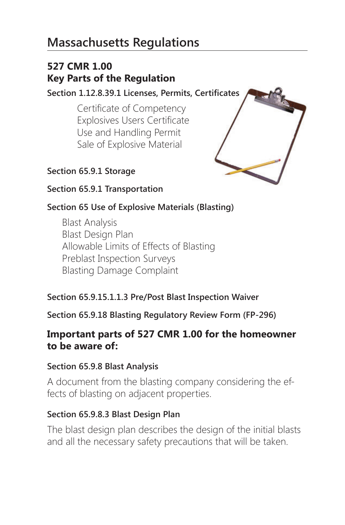# **Massachusetts Regulations**

### **527 CMR 1.00 Key Parts of the Regulation**

**Section 1.12.8.39.1 Licenses, Permits, Certificates**

Certificate of Competency Explosives Users Certificate Use and Handling Permit Sale of Explosive Material



**Section 65.9.1 Storage**

**Section 65.9.1 Transportation**

#### **Section 65 Use of Explosive Materials (Blasting)**

Blast Analysis Blast Design Plan Allowable Limits of Effects of Blasting Preblast Inspection Surveys Blasting Damage Complaint

#### **Section 65.9.15.1.1.3 Pre/Post Blast Inspection Waiver**

**Section 65.9.18 Blasting Regulatory Review Form (FP-296)**

#### **Important parts of 527 CMR 1.00 for the homeowner to be aware of:**

#### **Section 65.9.8 Blast Analysis**

A document from the blasting company considering the effects of blasting on adjacent properties.

#### **Section 65.9.8.3 Blast Design Plan**

The blast design plan describes the design of the initial blasts and all the necessary safety precautions that will be taken.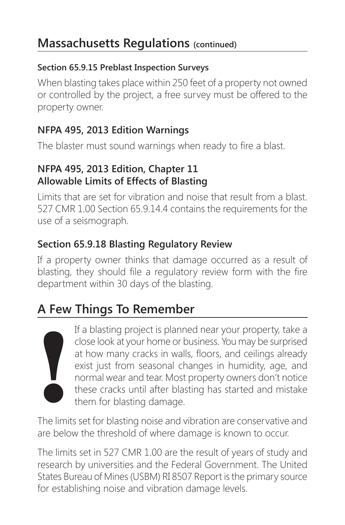## **Massachusetts Regulations (continued)**

#### **Section 65.9.15 Preblast Inspection Surveys**

When blasting takes place within 250 feet of a property not owned or controlled by the project, a free survey must be offered to the property owner.

### **NFPA 495, 2013 Edition Warnings**

The blaster must sound warnings when ready to fire a blast.

#### **NFPA 495, 2013 Edition, Chapter 11 Allowable Limits of Effects of Blasting**

Limits that are set for vibration and noise that result from a blast. 527 CMR 1.00 Section 65.9.14.4 contains the requirements for the use of a seismograph.

### **Section 65.9.18 Blasting Regulatory Review**

If a property owner thinks that damage occurred as a result of blasting, they should file a regulatory review form with the fire department within 30 days of the blasting.

# **A Few Things To Remember**



If a blasting project is planned near your property, take a close look at your home or business. You may be surprised at how many cracks in walls, floors, and ceilings already exist just from seasonal changes in humidity, age, and normal wear and tear. Most property owners don't notice these cracks until after blasting has started and mistake them for blasting damage.

The limits set for blasting noise and vibration are conservative and are below the threshold of where damage is known to occur.

The limits set in 527 CMR 1.00 are the result of years of study and research by universities and the Federal Government. The United States Bureau of Mines (USBM) RI 8507 Report is the primary source for establishing noise and vibration damage levels.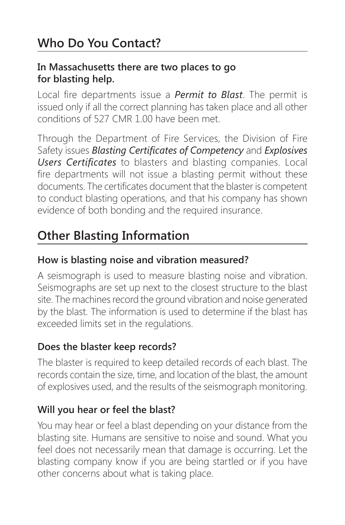#### **In Massachusetts there are two places to go for blasting help.**

Local fire departments issue a *Permit to Blast*. The permit is issued only if all the correct planning has taken place and all other conditions of 527 CMR 1.00 have been met.

Through the Department of Fire Services, the Division of Fire Safety issues *Blasting Certificates of Competency* and *Explosives Users Certificates* to blasters and blasting companies. Local fire departments will not issue a blasting permit without these documents. The certificates document that the blaster is competent to conduct blasting operations, and that his company has shown evidence of both bonding and the required insurance.

# **Other Blasting Information**

## **How is blasting noise and vibration measured?**

A seismograph is used to measure blasting noise and vibration. Seismographs are set up next to the closest structure to the blast site. The machines record the ground vibration and noise generated by the blast. The information is used to determine if the blast has exceeded limits set in the regulations.

### **Does the blaster keep records?**

The blaster is required to keep detailed records of each blast. The records contain the size, time, and location of the blast, the amount of explosives used, and the results of the seismograph monitoring.

### **Will you hear or feel the blast?**

You may hear or feel a blast depending on your distance from the blasting site. Humans are sensitive to noise and sound. What you feel does not necessarily mean that damage is occurring. Let the blasting company know if you are being startled or if you have other concerns about what is taking place.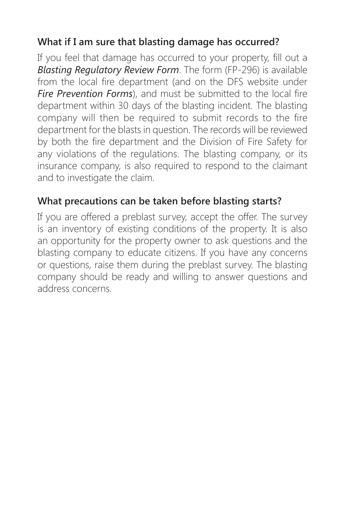### **What if I am sure that blasting damage has occurred?**

If you feel that damage has occurred to your property, fill out a *Blasting Regulatory Review Form*. The form (FP-296) is available from the local fire department (and on the DFS website under *Fire Prevention Forms*), and must be submitted to the local fire department within 30 days of the blasting incident. The blasting company will then be required to submit records to the fire department for the blasts in question. The records will be reviewed by both the fire department and the Division of Fire Safety for any violations of the regulations. The blasting company, or its insurance company, is also required to respond to the claimant and to investigate the claim.

### **What precautions can be taken before blasting starts?**

If you are offered a preblast survey, accept the offer. The survey is an inventory of existing conditions of the property. It is also an opportunity for the property owner to ask questions and the blasting company to educate citizens. If you have any concerns or questions, raise them during the preblast survey. The blasting company should be ready and willing to answer questions and address concerns.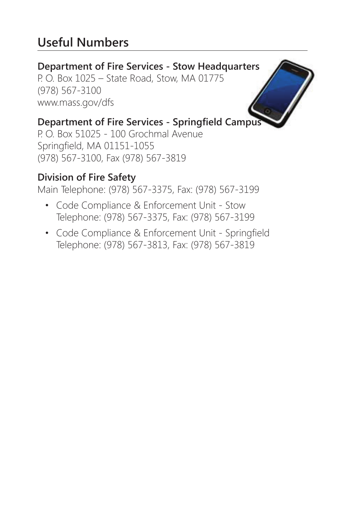# **Useful Numbers**

# **Department of Fire Services - Stow Headquarters**

P. O. Box 1025 – State Road, Stow, MA 01775 (978) 567-3100 www.mass.gov/dfs

## **Department of Fire Services - Springfield Campus**

P. O. Box 51025 - 100 Grochmal Avenue Springfield, MA 01151-1055 (978) 567-3100, Fax (978) 567-3819

### **Division of Fire Safety**

Main Telephone: (978) 567-3375, Fax: (978) 567-3199

- Code Compliance & Enforcement Unit Stow Telephone: (978) 567-3375, Fax: (978) 567-3199
- Code Compliance & Enforcement Unit Springfield Telephone: (978) 567-3813, Fax: (978) 567-3819